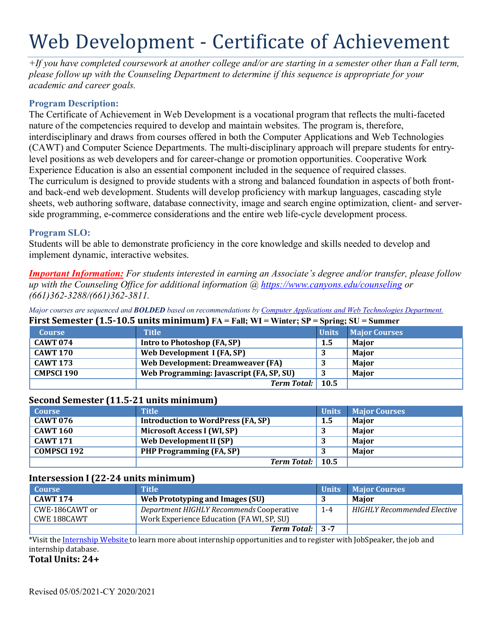# Web Development - Certificate of Achievement

*+If you have completed coursework at another college and/or are starting in a semester other than a Fall term, please follow up with the Counseling Department to determine if this sequence is appropriate for your academic and career goals.*

# **Program Description:**

The Certificate of Achievement in Web Development is a vocational program that reflects the multi-faceted nature of the competencies required to develop and maintain websites. The program is, therefore, interdisciplinary and draws from courses offered in both the Computer Applications and Web Technologies (CAWT) and Computer Science Departments. The multi-disciplinary approach will prepare students for entrylevel positions as web developers and for career-change or promotion opportunities. Cooperative Work Experience Education is also an essential component included in the sequence of required classes. The curriculum is designed to provide students with a strong and balanced foundation in aspects of both frontand back-end web development. Students will develop proficiency with markup languages, cascading style sheets, web authoring software, database connectivity, image and search engine optimization, client- and serverside programming, e-commerce considerations and the entire web life-cycle development process.

## **Program SLO:**

Students will be able to demonstrate proficiency in the core knowledge and skills needed to develop and implement dynamic, interactive websites.

*Important Information: For students interested in earning an Associate's degree and/or transfer, please follow up with the Counseling Office for additional information @ https:/[/www.canyons.edu/counseling](http://www.canyons.edu/counseling) or (661)362-3288/(661)362-3811.*

Major courses are sequenced and **BOLDED** based on recommendations by Computer Applications and Web Technologies Department. **First Semester (1.5-10.5 units minimum) FA = Fall; WI = Winter; SP = Spring; SU = Summer**

|                   | $\frac{1}{1000}$                         |              | $\omega$ , $\omega$ $\omega$ $\omega$ $\omega$ $\omega$ |
|-------------------|------------------------------------------|--------------|---------------------------------------------------------|
| <b>Course</b>     | <b>Title</b>                             | <b>Units</b> | <b>Major Courses</b>                                    |
| <b>CAWT 074</b>   | Intro to Photoshop (FA, SP)              | 1.5          | <b>Maior</b>                                            |
| <b>CAWT 170</b>   | Web Development I (FA, SP)               |              | Major                                                   |
| <b>CAWT 173</b>   | Web Development: Dreamweaver (FA)        |              | <b>Maior</b>                                            |
| <b>CMPSCI 190</b> | Web Programming: Javascript (FA, SP, SU) |              | <b>Maior</b>                                            |
|                   | Term Total: 10.5                         |              |                                                         |

#### **Second Semester (11.5-21 units minimum)**

| <b>Course</b>   | <b>Title</b>                       | <b>Units</b> | <b>Major Courses</b> |
|-----------------|------------------------------------|--------------|----------------------|
| <b>CAWT 076</b> | Introduction to WordPress (FA, SP) | 1.5          | Maior                |
| <b>CAWT 160</b> | Microsoft Access I (WI, SP)        |              | Maior                |
| <b>CAWT 171</b> | Web Development II (SP)            |              | Maior                |
| COMPSCI 192     | <b>PHP Programming (FA, SP)</b>    |              | Maior                |
|                 | Term Total: 10.5                   |              |                      |

#### **Intersession I (22-24 units minimum)**

| <b>Course</b>   | <b>Title</b>                              | <b>Units</b> | <b>Major Courses</b>        |
|-----------------|-------------------------------------------|--------------|-----------------------------|
| <b>CAWT 174</b> | Web Prototyping and Images (SU)           |              | <b>Maior</b>                |
| CWE-186CAWT or  | Department HIGHLY Recommends Cooperative  | $1 - 4$      | HIGHLY Recommended Elective |
| CWE 188CAWT     | Work Experience Education (FA WI, SP, SU) |              |                             |
|                 | <b>Term Total:</b> $\vert 3 - 7 \vert$    |              |                             |

\*Visit the Internship Website to learn more about internship opportunities and to register with JobSpeaker, the job and internship database.

**Total Units: 24+**